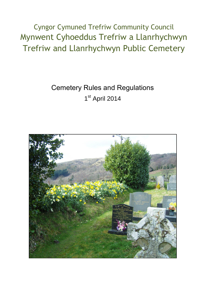Cyngor Cymuned Trefriw Community Council Mynwent Cyhoeddus Trefriw a Llanrhychwyn Trefriw and Llanrhychwyn Public Cemetery

# Cemetery Rules and Regulations 1<sup>st</sup> April 2014

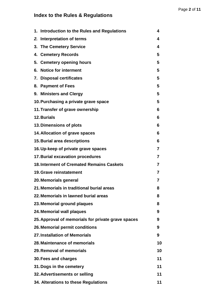# **Index to the Rules & Regulations**

| 1. Introduction to the Rules and Regulations       | 4                       |
|----------------------------------------------------|-------------------------|
| 2. Interpretation of terms                         | 4                       |
| 3. The Cemetery Service                            | 4                       |
| 4. Cemetery Records                                | 5                       |
| 5. Cemetery opening hours                          | 5                       |
| 6. Notice for interment                            | 5                       |
| 7. Disposal certificates                           | 5                       |
| 8. Payment of Fees                                 | 5                       |
| 9. Ministers and Clergy                            | 5                       |
| 10. Purchasing a private grave space               | 5                       |
| 11. Transfer of grave ownership                    | 6                       |
| 12. Burials                                        | 6                       |
| 13. Dimensions of plots                            | 6                       |
| 14. Allocation of grave spaces                     | 6                       |
| <b>15. Burial area descriptions</b>                | 6                       |
| 16. Up-keep of private grave spaces                | $\overline{\mathbf{r}}$ |
| <b>17. Burial excavation procedures</b>            | 7                       |
| <b>18. Interment of Cremated Remains Caskets</b>   | $\overline{7}$          |
| <b>19. Grave reinstatement</b>                     | 7                       |
| 20. Memorials general                              | 7                       |
| 21. Memorials in traditional burial areas          | 8                       |
| 22. Memorials in lawned burial areas               | 8                       |
| 23. Memorial ground plaques                        | 8                       |
| 24. Memorial wall plaques                          | 9                       |
| 25. Approval of memorials for private grave spaces | 9                       |
| 26. Memorial permit conditions                     | 9                       |
| 27. Installation of Memorials                      | 9                       |
| 28. Maintenance of memorials                       | 10                      |
| 29. Removal of memorials                           | 10                      |
| 30. Fees and charges                               | 11                      |
| 31. Dogs in the cemetery                           | 11                      |
| 32. Advertisements or selling                      | 11                      |
| 34. Alterations to these Regulations               | 11                      |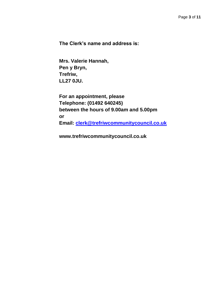**The Clerk's name and address is:**

**Mrs. Valerie Hannah, Pen y Bryn, Trefriw, LL27 0JU.**

**For an appointment, please Telephone: (01492 640245) between the hours of 9.00am and 5.00pm or Email: [clerk@trefriwcommunitycouncil.co.uk](file:///C:/Users/C/Documents/COMMUNITY%20COUNCIL/CEMETERY/CEMETERY%20RULES/clerk@trefriwcommunitycouncil.co.uk)** 

**www.trefriwcommunitycouncil.co.uk**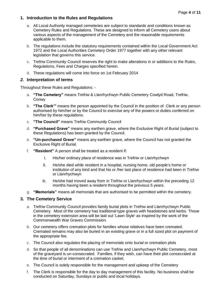# **1. Introduction to the Rules and Regulations**

- a. All Local Authority managed cemeteries are subject to standards and conditions known as Cemetery Rules and Regulations. These are designed to inform all Cemetery users about various aspects of the management of the Cemetery and the reasonable requirements applicable to them.
- b. The regulations include the statutory requirements contained within the Local Government Act 1972 and the Local Authorities Cemetery Order 1977 together with any other relevant legislation that governs this service.
- c. Trefriw Community Council reserves the right to make alterations in or additions to the Rules, Regulations, Fees and Charges specified herein.
- d. These regulations will come into force on 1st February 2014

#### *2.* **Interpretation of terms**

Throughout these Rules and Regulations: -

- a. **"The Cemetery"** means Trefriw & Llanrhychwyn Public Cemetery Cowlyd Road, Trefriw, Conwy
- b. **"The Clerk'"** means the person appointed by the Council in the position of Clerk or any person authorised by him/her or by the Council to exercise any of the powers or duties conferred on him/her by these regulations.
- c. **"The Council"** means Trefriw Community Council
- d. **"Purchased Grave"** means any earthen grave, where the Exclusive Right of Burial (subject to these Regulations) has been granted by the Council.
- e. **"Un-purchased Grave"** means any earthen grave, where the Council has not granted the Exclusive Right of Burial.
- f. **"Resident"** A person shall be treated as a resident if:
	- i. His/her ordinary place of residence was in Trefriw or Llanrhychwyn
	- ii. He/she died while resident in a hospital, nursing home, old people's home or institution of any kind and that his or /her last place of residence had been in Trefriw or Llanrhychwyn
	- iii. He/she had moved away from in Trefriw or Llanrhychwyn within the preceding 12 months having been a resident throughout the previous 5 years.
- g. **"Memorials"** means all memorials that are authorised to be permitted within the cemetery.

#### **3. The Cemetery Service**

- a. Trefriw Community Council provides family burial plots in Trefriw and Llanrhychwyn Public Cemetery. Most of the cemetery has traditional type graves with headstones and kerbs. Those in the cemetery extension area will be laid out 'Lawn Style' as inspired by the work of the Commonwealth War Graves Commission.
- b. Our cemetery offers cremation plots for families whose relatives have been cremated. Cremated remains may also be buried in an existing grave or in a full sized plot on payment of the appropriate fee.
- c. The Council also regulates the placing of memorials onto burial or cremation plots
- d. So that people of all denominations can use Trefriw and Llanrhychwyn Public Cemetery, most of the graveyard is un-consecrated. Families, if they wish, can have their plot consecrated at the time of burial or interment of a cremation casket.
- e. The Council is solely responsible for the management and upkeep of the Cemetery
- f. The Clerk is responsible for the day to day management of this facility. No business shall be conducted on Saturday, Sundays or public and local holidays.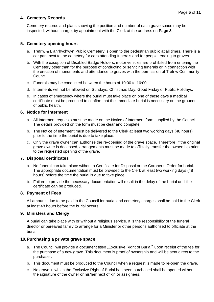# **4. Cemetery Records**

Cemetery records and plans showing the position and number of each grave space may be inspected, without charge, by appointment with the Clerk at the address on **Page 3**.

# **5. Cemetery opening hours**

- a. Trefriw & Llanrhychwyn Public Cemetery is open to the pedestrian public at all times. There is a car park next to the cemetery for cars attending funerals and for people tending to graves
- b. With the exception of Disabled Badge Holders, motor vehicles are prohibited from entering the Cemetery other than for the purpose of conducting or servicing funerals or in connection with the erection of monuments and attendance to graves with the permission of Trefriw Community Council.
- c. Funerals may be conducted between the hours of 10:00 to 16:00
- d. Interments will not be allowed on Sundays, Christmas Day, Good Friday or Public Holidays.
- e. In cases of emergency where the burial must take place on one of these days a medical certificate must be produced to confirm that the immediate burial is necessary on the grounds of public health.

#### **6. Notice for interment**

- a. All Interment requests must be made on the Notice of Interment form supplied by the Council. The details provided on the form must be clear and complete.
- b. The Notice of Interment must be delivered to the Clerk at least two working days (48 hours) prior to the time the burial is due to take place.
- c. Only the grave owner can authorise the re-opening of the grave space. Therefore, if the original grave owner is deceased, arrangements must be made to officially transfer the ownership prior to the requested opening of the grave.

#### **7. Disposal certificates**

- a. No funeral can take place without a Certificate for Disposal or the Coroner's Order for burial. The appropriate documentation must be provided to the Clerk at least two working days (48 hours) before the time the burial is due to take place.
- b. Failure to provide the necessary documentation will result in the delay of the burial until the certificate can be produced.

#### **8. Payment of Fees**

All amounts due to be paid to the Council for burial and cemetery charges shall be paid to the Clerk at least 48 hours before the burial occurs

#### **9. Ministers and Clergy**

A burial can take place with or without a religious service. It is the responsibility of the funeral director or bereaved family to arrange for a Minister or other persons authorised to officiate at the burial.

#### **10.Purchasing a private grave space**

- a. The Council will provide a document titled "Exclusive Right of Burial" upon receipt of the fee for the purchase of a new grave. This document is proof of ownership and will be sent direct to the purchaser.
- b. This document must be produced to the Council when a request is made to re-open the grave.
- c. No grave in which the Exclusive Right of Burial has been purchased shall be opened without the signature of the owner or his/her next of kin or assignees.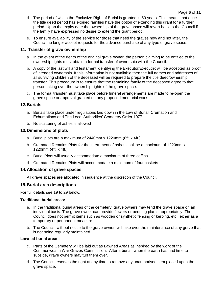- d. The period of which the Exclusive Right of Burial is granted is 50 years. This means that once the title deed period has expired families have the option of extending this grant for a further period. Upon the expiry date the ownership of the grave space will revert back to the Council if the family have expressed no desire to extend the grant period.
- e. To ensure availability of the service for those that need the graves now and not later, the Council no longer accept requests for the advance purchase of any type of grave space.

# **11. Transfer of grave ownership**

- a. In the event of the death of the original grave owner, the person claiming to be entitled to the ownership rights must obtain a formal transfer of ownership with the Council.
- b. A copy of the last will and testament identifying the Executor/Executrix will be accepted as proof of intended ownership. If this information is not available then the full names and addresses of all surviving children of the deceased will be required to prepare the title deed/ownership transfer. This procedure is to ensure that the remaining family of the deceased agree to that person taking over the ownership rights of the grave space.
- c. The formal transfer must take place before funeral arrangements are made to re-open the grave space or approval granted on any proposed memorial work.

# **12.Burials**

- a. Burials take place under regulations laid down in the Law of Burial, Cremation and Exhumations and The Local Authorities' Cemetery Order 1977
- b. No scattering of ashes is allowed

# **13.Dimensions of plots**

- a. Burial plots are a maximum of 2440mm x 1220mm (8ft. x 4ft.)
- b. Cremated Remains Plots for the internment of ashes shall be a maximum of 1220mm x 1220mm (4ft. x 4ft.)
- c. Burial Plots will usually accommodate a maximum of three coffins.
- d. Cremated Remains Plots will accommodate a maximum of four caskets.

# **14.Allocation of grave spaces**

All grave spaces are allocated in sequence at the discretion of the Council.

# **15.Burial area descriptions**

For full details see 19 to 29 below.

# **Traditional burial areas:**

- a. In the traditional burial areas of the cemetery, grave owners may tend the grave space on an individual basis. The grave owner can provide flowers or bedding plants appropriately. The Council does not permit items such as wooden or synthetic fencing or kerbing, etc., either as a temporary or permanent measure.
- b. The Council, without notice to the grave owner, will take over the maintenance of any grave that is not being regularly maintained.

# **Lawned burial areas:**

- c. Parts of the Cemetery will be laid out as Lawned Areas as inspired by the work of the Commonwealth War Graves Commission. After a burial, when the earth has had time to subside, grave owners may turf them over.
- d. The Council reserves the right at any time to remove any unauthorised item placed upon the grave space.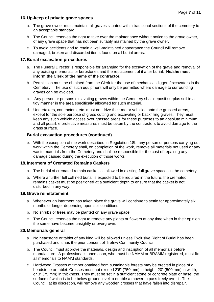# **16.Up-keep of private grave spaces**

- a. The grave owner must maintain all graves situated within traditional sections of the cemetery to an acceptable standard.
- b. The Council reserves the right to take over the maintenance without notice to the grave owner, of any grave space that has not been suitably maintained by the grave owner.
- c. To avoid accidents and to retain a well-maintained appearance the Council will remove damaged, broken and discarded items found on all burial areas.

#### **17.Burial excavation procedures**

- a. The Funeral Director is responsible for arranging for the excavation of the grave and removal of any existing memorials or kerbstones and the replacement of it after burial. **He/she must inform the Clerk of the name of the contractor.**
- b. Permission must be obtained from the Clerk for the use of mechanical diggers/excavators in the Cemetery. The use of such equipment will only be permitted where damage to surrounding graves can be avoided.
- c. Any person or persons excavating graves within the Cemetery shall deposit surplus soil in a tidy manner in the area specifically allocated for such material.
- d. Undertakers, contractors, etc. must not drive their motor vehicles onto the grassed areas, except for the sole purpose of grass cutting and excavating or backfilling graves. They must keep any such vehicle access over grassed areas for these purposes to an absolute minimum, and all possible protective measures must be taken by the contractors to avoid damage to the grass surface.

### **Burial excavation procedures (continued)**

e. With the exception of the work described in Regulation 18b, any person or persons carrying out work within the Cemetery shall, on completion of the work, remove all materials not used or any waste materials from the Cemetery and shall be responsible for the cost of repairing any damage caused during the execution of those works

#### **18.Interment of Cremated Remains Caskets**

- a. The burial of cremated remain caskets is allowed in existing full grave spaces in the cemetery.
- b. Where a further full coffined burial is expected to be required in the future, the cremated remains casket must be positioned at a sufficient depth to ensure that the casket is not disturbed in any way.

#### **19.Grave reinstatement**

- a. Whenever an interment has taken place the grave will continue to settle for approximately six months or longer depending upon soil conditions.
- b. No shrubs or trees may be planted on any grave space.
- c. The Council reserves the right to remove any plants or flowers at any time when in their opinion the same have become unsightly or overgrown.

#### **20.Memorials general**

- a. No headstone or tablet of any kind will be allowed unless Exclusive Right of Burial has been purchased and it has the prior consent of Trefriw Community Council.
- b. The Council must approve the materials, design and inscription of all memorials before manufacture. A professional stonemason, who must be NAMM or BRAMM registered, must fix all memorials to NAMM standards.
- c. Hardwood Crosses of timber obtained from sustainable forests may be erected in place of a headstone or tablet. Crosses must not exceed 2'6" (750 mm) in height, 20" (500 mm) in width, or 3" (75 mm) in thickness. They must be set in a sufficient stone or concrete plate or base, the surface of which is to be below ground level to enable a mower to pass freely over it. The Council, at its discretion, will remove any wooden crosses that have fallen into disrepair.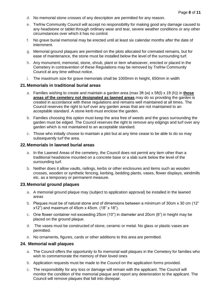- d. No memorial stone crosses of any description are permitted for any reason.
- e. Trefriw Community Council will accept no responsibility for making good any damage caused to any headstone or tablet through ordinary wear and tear, severe weather conditions or any other circumstances over which it has no control.
- f. No grave burial memorial may be erected until at least six calendar months after the date of internment.
- g. Memorial ground plaques are permitted on the plots allocated for cremated remains, but for ease of maintenance, the stone must be installed below the level of the surrounding turf.
- h. Any monument, memorial, stone, shrub, plant or item whatsoever, erected or placed in the Cemetery in contravention of these Regulations may be removed by Trefriw Community Council at any time without notice.
- i. The maximum size for grave memorials shall be 1000mm in height, 650mm in width

#### **21.Memorials in traditional burial areas**

- a. Families wishing to create and maintain a garden area (max 3ft (w) x 5ft(l) x 1ft (h)) in **those areas of the cemetery not designated as lawned areas** may do so providing the garden is created in accordance with these regulations and remains well maintained at all times. The Council reserves the right to turf over any garden areas that are not maintained to an acceptable standard. A stone kerb must enclose the garden.
- b. Families choosing this option must keep the area free of weeds and the grass surrounding the garden must be edged. The Council reserves the right to remove any edgings and turf over any garden which is not maintained to an acceptable standard.
- c. Those who initially choose to maintain a plot but at any time cease to be able to do so may subsequently turf the area.

#### **22.Memorials in lawned burial areas**

- a. In the Lawned Areas of the cemetery, the Council does not permit any item other than a traditional headstone mounted on a concrete base or a slab sunk below the level of the surrounding turf.
- b. Neither does it allow vaults, railings, kerbs or other enclosures and items such as wooden crosses, wooden or synthetic fencing, kerbing, bedding plants, vases, flower displays, windmills etc. as a temporary or permanent measure.

#### **23.Memorial ground plaques**

- a. A memorial ground plaque may (subject to application approval) be installed in the lawned areas
- b. Plaques must be of natural stone and of dimensions between a minimum of 30cm x 30 cm (12" x12") and maximum of 45cm x 45cm. (18" x 18").
- c. One flower container not exceeding 25cm (10") in diameter and 20cm (8") in height may be placed on the ground plaque.
- d. The vases must be constructed of stone, ceramic or metal. No glass or plastic vases are permitted.
- e. No ornaments, figures, cards or other additions to this area are permitted.

#### **24. Memorial wall plaques**

- a. The Council offers the opportunity to fix memorial wall plaques in the Cemetery for families who wish to commemorate the memory of their loved ones
- b. Application requests must be made to the Council on the application forms provided.
- c. The responsibility for any loss or damage will remain with the applicant. The Council will monitor the condition of the memorial plaque and report any deterioration to the applicant. The Council will remove plaques that fall into disrepair.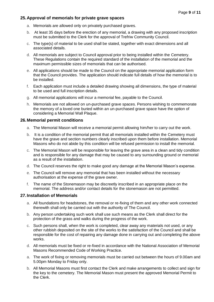# **25.Approval of memorials for private grave spaces**

- a. Memorials are allowed only on privately purchased graves.
- b. At least 35 days before the erection of any memorial, a drawing with any proposed inscription must be submitted to the Clerk for the approval of Trefriw Community Council.
- c. The type(s) of material to be used shall be stated, together with exact dimensions and all associated details.
- d. All memorials are subject to Council approval prior to being installed within the Cemetery. These Regulations contain the required standard of the installation of the memorial and the maximum permissible sizes of memorials that can be authorised.
- e. All applications should be made to the Council on the appropriate memorial application form that the Council provides. The application should indicate full details of how the memorial is to be installed.
- f. Each application must include a detailed drawing showing all dimensions, the type of material to be used and full inscription details.
- g. All memorial applications will incur a memorial fee, payable to the Council.
- h. Memorials are not allowed on un-purchased grave spaces. Persons wishing to commemorate the memory of a loved one buried within an un-purchased grave space have the option of considering a Memorial Wall Plaque.

#### **26.Memorial permit conditions**

- a. The Memorial Mason will receive a memorial permit allowing him/her to carry out the work.
- b. It is a condition of the memorial permit that all memorials installed within the Cemetery must have the grave and section numbers clearly inscribed upon them before installation. Memorial Masons who do not abide by this condition will be refused permission to install the memorial.
- c. The Memorial Mason will be responsible for leaving the grave area in a clean and tidy condition and is responsible for any damage that may be caused to any surrounding ground or memorial as a result of the installation.
- d. The Council reserves the right to make good any damage at the Memorial Mason's expense.
- e. The Council will remove any memorial that has been installed without the necessary authorisation at the expense of the grave owner.
- f. The name of the Stonemason may be discreetly inscribed in an appropriate place on the memorial. The address and/or contact details for the stonemason are not permitted.

#### **27.Installation of Memorials**

- a. All foundations for headstones, the removal or re-fixing of them and any other work connected therewith shall only be carried out with the authority of The Council.
- b. Any person undertaking such work shall use such means as the Clerk shall direct for the protection of the grass and walks during the progress of the work.
- c. Such persons shall, when the work is completed, clear away any materials not used, or any other rubbish deposited on the site of the works to the satisfaction of the Council and shall be responsible for the cost of repairing any damage done in carrying out and completing the above works.
- d. All memorials must be fixed or re-fixed in accordance with the National Association of Memorial Masons Recommended Code of Working Practice.
- a. The work of fixing or removing memorials must be carried out between the hours of 9.00am and 5.00pm Monday to Friday only.
- b. All Memorial Masons must first contact the Clerk and make arrangements to collect and sign for the key to the cemetery. The Memorial Mason must present the approved Memorial Permit to the Clerk.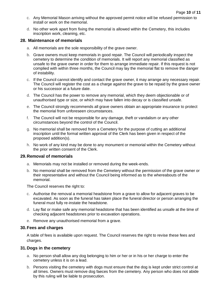- c. Any Memorial Mason arriving without the approved permit notice will be refused permission to install or work on the memorial.
- d. No other work apart from fixing the memorial is allowed within the Cemetery, this includes inscription work, cleaning, etc.

#### **28. Maintenance of memorials**

- a. All memorials are the sole responsibility of the grave owner.
- b. Grave owners must keep memorials in good repair. The Council will periodically inspect the cemetery to determine the condition of memorials. It will report any memorial classified as unsafe to the grave owner in order for them to arrange immediate repair. If this request is not complied with within three months, the Council may lay the memorial flat to remove the danger of instability.
- c. If the Council cannot identify and contact the grave owner, it may arrange any necessary repair. The Council will register the cost as a charge against the grave to be repaid by the grave owner or his successor at a future date.
- d. The Council has the power to remove any memorial, which they deem objectionable or of unauthorised type or size, or which may have fallen into decay or is classified unsafe.
- e. The Council strongly recommends all grave owners obtain an appropriate insurance to protect the memorial from unforeseen circumstances.
- f. The Council will not be responsible for any damage, theft or vandalism or any other circumstances beyond the control of the Council.
- g. No memorial shall be removed from a Cemetery for the purpose of cutting an additional inscription until the formal written approval of the Clerk has been given in respect of the proposed addition(s).
- h. No work of any kind may be done to any monument or memorial within the Cemetery without the prior written consent of the Clerk.

#### **29.Removal of memorials**

- a. Memorials may not be installed or removed during the week-ends.
- b. No memorial shall be removed from the Cemetery without the permission of the grave owner or their representative and without the Council being informed as to the whereabouts of the memorial.

The Council reserves the right to:

- c. Authorise the removal a memorial headstone from a grave to allow for adjacent graves to be excavated. As soon as the funeral has taken place the funeral director or person arranging the funeral must fully re-instate the headstone.
- d. Lay flat or make safe any memorial headstone that has been identified as unsafe at the time of checking adjacent headstones prior to excavation operations.
- e. Remove any unauthorised memorial from a grave.

#### **30.Fees and charges**

A table of fees is available upon request. The Council reserves the right to revise these fees and charges.

#### **31.Dogs in the cemetery**

- a. No person shall allow any dog belonging to him or her or in his or her charge to enter the cemetery unless it is on a lead.
- b. Persons visiting the cemetery with dogs must ensure that the dog is kept under strict control at all times. Owners must remove dog faeces from the cemetery. Any person who does not abide by this ruling will be liable to prosecution.